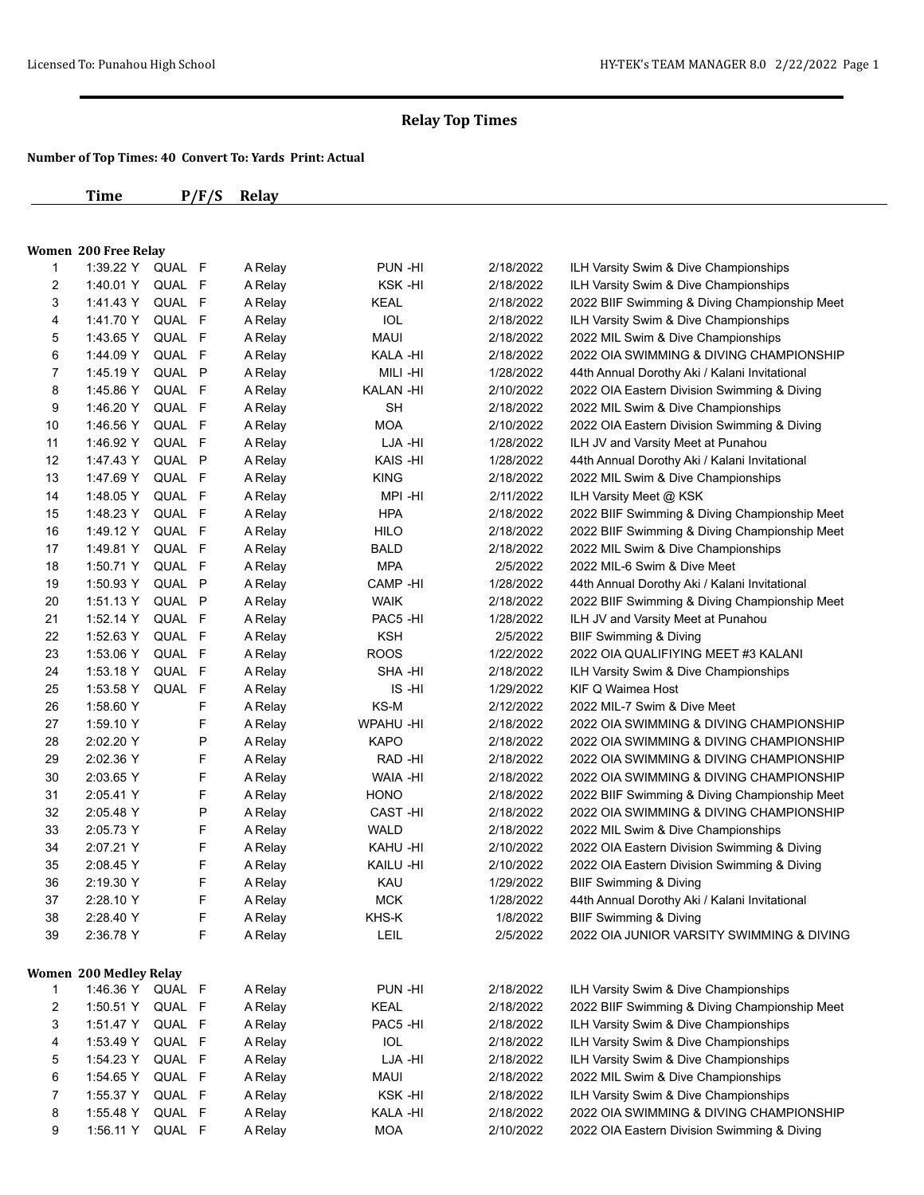|              | Time                          | P/F/S            | <b>Relay</b> |                 |           |                                               |
|--------------|-------------------------------|------------------|--------------|-----------------|-----------|-----------------------------------------------|
|              |                               |                  |              |                 |           |                                               |
|              | <b>Women 200 Free Relay</b>   |                  |              |                 |           |                                               |
| 1            |                               | 1:39.22 Y QUAL F | A Relay      | PUN -HI         | 2/18/2022 | ILH Varsity Swim & Dive Championships         |
| 2            |                               | 1:40.01 Y QUAL F | A Relay      | KSK-HI          | 2/18/2022 | ILH Varsity Swim & Dive Championships         |
| 3            |                               | 1:41.43 Y QUAL F | A Relay      | KEAL            | 2/18/2022 | 2022 BIIF Swimming & Diving Championship Meet |
| 4            | 1:41.70 Y                     | QUAL F           | A Relay      | IOL             | 2/18/2022 | ILH Varsity Swim & Dive Championships         |
| 5            | 1:43.65 Y                     | QUAL F           | A Relay      | <b>MAUI</b>     | 2/18/2022 | 2022 MIL Swim & Dive Championships            |
| 6            | 1:44.09 Y                     | QUAL F           | A Relay      | KALA -HI        | 2/18/2022 | 2022 OIA SWIMMING & DIVING CHAMPIONSHIP       |
| 7            | 1:45.19 Y                     | QUAL P           | A Relay      | MILI -HI        | 1/28/2022 | 44th Annual Dorothy Aki / Kalani Invitational |
| 8            | 1:45.86 Y                     | QUAL F           | A Relay      | KALAN -HI       | 2/10/2022 | 2022 OIA Eastern Division Swimming & Diving   |
| 9            | 1:46.20 Y                     | QUAL F           | A Relay      | <b>SH</b>       | 2/18/2022 | 2022 MIL Swim & Dive Championships            |
| 10           | 1:46.56 Y                     | QUAL F           | A Relay      | <b>MOA</b>      | 2/10/2022 | 2022 OIA Eastern Division Swimming & Diving   |
| 11           | 1:46.92 Y                     | QUAL F           | A Relay      | LJA -HI         | 1/28/2022 | ILH JV and Varsity Meet at Punahou            |
| 12           | 1:47.43 Y                     | QUAL P           | A Relay      | KAIS -HI        | 1/28/2022 | 44th Annual Dorothy Aki / Kalani Invitational |
| 13           | 1:47.69 Y                     | QUAL F           | A Relay      | <b>KING</b>     | 2/18/2022 | 2022 MIL Swim & Dive Championships            |
| 14           | 1:48.05 Y                     | QUAL F           | A Relay      | MPI-HI          | 2/11/2022 | ILH Varsity Meet @ KSK                        |
| 15           | 1:48.23 Y                     | QUAL F           | A Relay      | <b>HPA</b>      | 2/18/2022 | 2022 BIIF Swimming & Diving Championship Meet |
| 16           | 1:49.12 Y                     | QUAL F           | A Relay      | <b>HILO</b>     | 2/18/2022 | 2022 BIIF Swimming & Diving Championship Meet |
| 17           | 1:49.81 Y                     | QUAL F           | A Relay      | <b>BALD</b>     | 2/18/2022 | 2022 MIL Swim & Dive Championships            |
| 18           | 1:50.71 Y                     | QUAL F           | A Relay      | <b>MPA</b>      | 2/5/2022  | 2022 MIL-6 Swim & Dive Meet                   |
| 19           | 1:50.93 Y                     | QUAL P           | A Relay      | CAMP-HI         | 1/28/2022 | 44th Annual Dorothy Aki / Kalani Invitational |
| 20           | 1:51.13 Y                     | QUAL P           | A Relay      | <b>WAIK</b>     | 2/18/2022 | 2022 BIIF Swimming & Diving Championship Meet |
| 21           | 1:52.14 Y                     | QUAL F           | A Relay      | PAC5 -HI        | 1/28/2022 | ILH JV and Varsity Meet at Punahou            |
| 22           | 1:52.63 Y                     | QUAL F           | A Relay      | <b>KSH</b>      | 2/5/2022  | <b>BIIF Swimming &amp; Diving</b>             |
| 23           | 1:53.06 Y                     | QUAL F           | A Relay      | <b>ROOS</b>     | 1/22/2022 | 2022 OIA QUALIFIYING MEET #3 KALANI           |
| 24           | 1:53.18 Y                     | QUAL F           | A Relay      | SHA -HI         | 2/18/2022 | ILH Varsity Swim & Dive Championships         |
| 25           | 1:53.58 Y                     | QUAL F           | A Relay      | IS -HI          | 1/29/2022 | KIF Q Waimea Host                             |
| 26           | 1:58.60 Y                     | F                | A Relay      | KS-M            | 2/12/2022 | 2022 MIL-7 Swim & Dive Meet                   |
| 27           | 1:59.10 Y                     | F                | A Relay      | <b>WPAHU-HI</b> | 2/18/2022 | 2022 OIA SWIMMING & DIVING CHAMPIONSHIP       |
| 28           | 2:02.20 Y                     | P                | A Relay      | <b>KAPO</b>     | 2/18/2022 | 2022 OIA SWIMMING & DIVING CHAMPIONSHIP       |
| 29           | 2:02.36 Y                     | F                | A Relay      | RAD -HI         | 2/18/2022 | 2022 OIA SWIMMING & DIVING CHAMPIONSHIP       |
| 30           | 2:03.65 Y                     | F                | A Relay      | WAIA -HI        | 2/18/2022 | 2022 OIA SWIMMING & DIVING CHAMPIONSHIP       |
| 31           | 2:05.41 Y                     | F                | A Relay      | <b>HONO</b>     | 2/18/2022 | 2022 BIIF Swimming & Diving Championship Meet |
| 32           | 2:05.48 Y                     | P                | A Relay      | CAST-HI         | 2/18/2022 | 2022 OIA SWIMMING & DIVING CHAMPIONSHIP       |
| 33           | 2:05.73 Y                     | F                | A Relay      | <b>WALD</b>     | 2/18/2022 | 2022 MIL Swim & Dive Championships            |
| 34           | 2:07.21 Y                     | F                | A Relay      | KAHU -HI        | 2/10/2022 | 2022 OIA Eastern Division Swimming & Diving   |
| 35           | 2:08.45 Y                     | F                | A Relay      | KAILU -HI       | 2/10/2022 | 2022 OIA Eastern Division Swimming & Diving   |
| 36           | 2:19.30 Y                     | F                | A Relay      | KAU             | 1/29/2022 | <b>BIIF Swimming &amp; Diving</b>             |
| 37           | 2:28.10 Y                     | F                | A Relay      | <b>MCK</b>      | 1/28/2022 | 44th Annual Dorothy Aki / Kalani Invitational |
| 38           | 2:28.40 Y                     | F                | A Relay      | KHS-K           | 1/8/2022  | <b>BIIF Swimming &amp; Diving</b>             |
| 39           | 2:36.78 Y                     | F                | A Relay      | <b>LEIL</b>     | 2/5/2022  | 2022 OIA JUNIOR VARSITY SWIMMING & DIVING     |
|              | <b>Women 200 Medley Relay</b> |                  |              |                 |           |                                               |
| $\mathbf{1}$ |                               | 1:46.36 Y QUAL F | A Relay      | PUN -HI         | 2/18/2022 | ILH Varsity Swim & Dive Championships         |
| 2            | 1:50.51 Y                     | QUAL F           | A Relay      | <b>KEAL</b>     | 2/18/2022 | 2022 BIIF Swimming & Diving Championship Meet |
| 3            | 1:51.47 Y                     | QUAL F           | A Relay      | PAC5 -HI        | 2/18/2022 | ILH Varsity Swim & Dive Championships         |
| 4            | 1:53.49 Y                     | QUAL F           | A Relay      | IOL             | 2/18/2022 | ILH Varsity Swim & Dive Championships         |
| 5            | 1:54.23 Y                     | QUAL F           | A Relay      | LJA -HI         | 2/18/2022 | ILH Varsity Swim & Dive Championships         |
| 6            | 1:54.65 Y                     | QUAL F           | A Relay      | <b>MAUI</b>     | 2/18/2022 | 2022 MIL Swim & Dive Championships            |
| 7            | 1:55.37 Y                     | QUAL F           | A Relay      | KSK-HI          | 2/18/2022 | ILH Varsity Swim & Dive Championships         |
| 8            | 1:55.48 Y                     | QUAL F           | A Relay      | KALA -HI        | 2/18/2022 | 2022 OIA SWIMMING & DIVING CHAMPIONSHIP       |
| 9            | 1:56.11 Y                     | QUAL F           | A Relay      | <b>MOA</b>      | 2/10/2022 | 2022 OIA Eastern Division Swimming & Diving   |
|              |                               |                  |              |                 |           |                                               |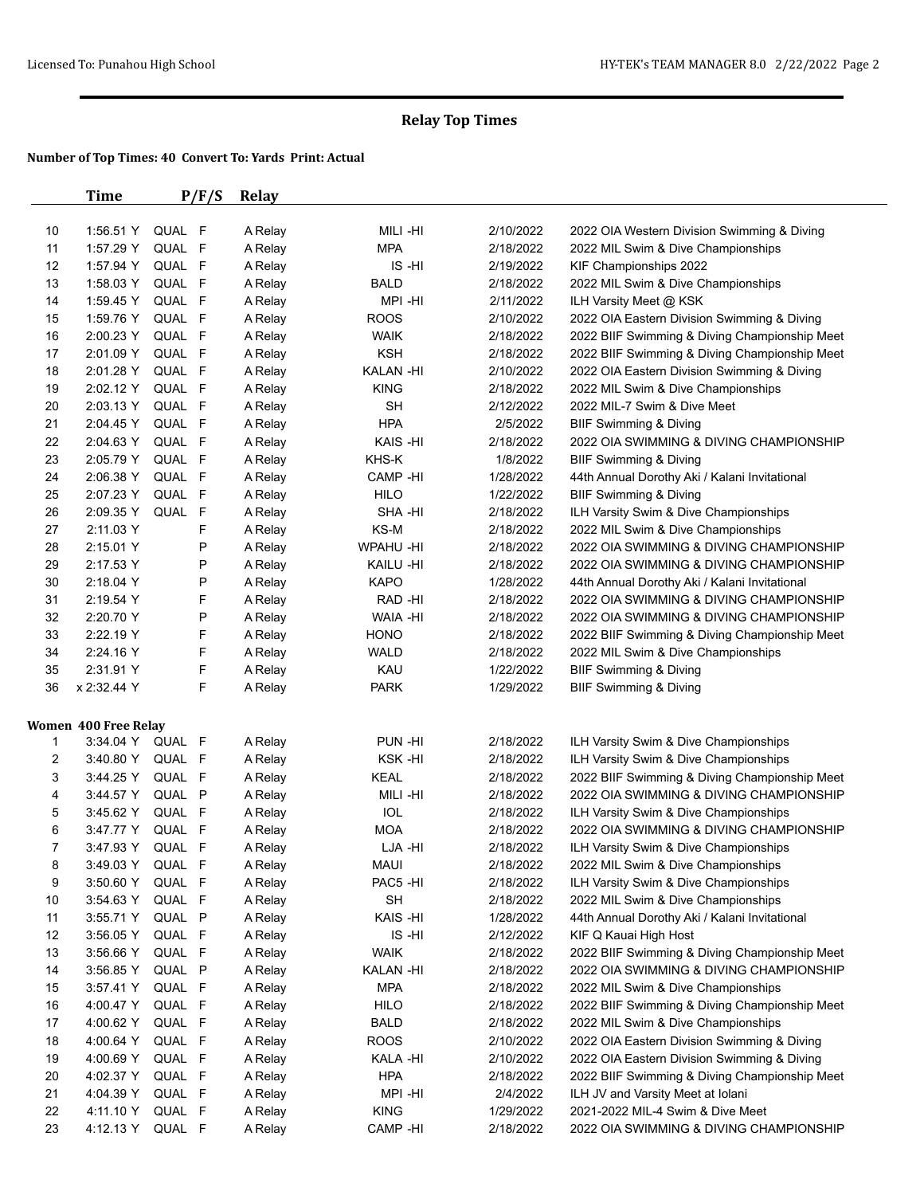|                | <b>Time</b>          | P/F/S     | <b>Relay</b> |                 |           |                                               |
|----------------|----------------------|-----------|--------------|-----------------|-----------|-----------------------------------------------|
| 10             | 1:56.51 Y            | QUAL F    | A Relay      | MILI-HI         | 2/10/2022 | 2022 OIA Western Division Swimming & Diving   |
| 11             | 1:57.29 Y            | QUAL F    | A Relay      | <b>MPA</b>      | 2/18/2022 | 2022 MIL Swim & Dive Championships            |
| 12             | 1:57.94 Y            | QUAL F    | A Relay      | IS-HI           | 2/19/2022 | KIF Championships 2022                        |
| 13             | 1:58.03 Y            | QUAL F    | A Relay      | <b>BALD</b>     | 2/18/2022 | 2022 MIL Swim & Dive Championships            |
| 14             | 1:59.45 Y            | QUAL F    | A Relay      | MPI-HI          | 2/11/2022 | ILH Varsity Meet @ KSK                        |
| 15             | 1:59.76 Y            | QUAL F    | A Relay      | <b>ROOS</b>     | 2/10/2022 | 2022 OIA Eastern Division Swimming & Diving   |
| 16             | 2:00.23 Y            | QUAL F    | A Relay      | <b>WAIK</b>     | 2/18/2022 | 2022 BIIF Swimming & Diving Championship Meet |
| 17             | 2:01.09 Y            | QUAL F    | A Relay      | <b>KSH</b>      | 2/18/2022 | 2022 BIIF Swimming & Diving Championship Meet |
| 18             | 2:01.28 Y            | QUAL F    | A Relay      | <b>KALAN-HI</b> | 2/10/2022 | 2022 OIA Eastern Division Swimming & Diving   |
| 19             | 2:02.12 Y            | QUAL F    | A Relay      | <b>KING</b>     | 2/18/2022 | 2022 MIL Swim & Dive Championships            |
| 20             | 2:03.13 Y            | QUAL F    | A Relay      | <b>SH</b>       | 2/12/2022 | 2022 MIL-7 Swim & Dive Meet                   |
| 21             | 2:04.45 Y            | QUAL F    | A Relay      | <b>HPA</b>      | 2/5/2022  | BIIF Swimming & Diving                        |
| 22             | 2:04.63 Y            | QUAL F    | A Relay      | KAIS-HI         | 2/18/2022 | 2022 OIA SWIMMING & DIVING CHAMPIONSHIP       |
| 23             | 2:05.79 Y            | QUAL F    | A Relay      | KHS-K           | 1/8/2022  | <b>BIIF Swimming &amp; Diving</b>             |
| 24             | 2:06.38 Y            | QUAL F    | A Relay      | CAMP -HI        | 1/28/2022 | 44th Annual Dorothy Aki / Kalani Invitational |
| 25             | 2:07.23 Y            | QUAL F    | A Relay      | <b>HILO</b>     | 1/22/2022 | <b>BIIF Swimming &amp; Diving</b>             |
| 26             | 2:09.35 Y            | QUAL<br>F | A Relay      | SHA -HI         | 2/18/2022 | ILH Varsity Swim & Dive Championships         |
| 27             | 2:11.03 Y            | F         | A Relay      | KS-M            | 2/18/2022 | 2022 MIL Swim & Dive Championships            |
| 28             | 2:15.01 Y            | P         | A Relay      | WPAHU -HI       | 2/18/2022 | 2022 OIA SWIMMING & DIVING CHAMPIONSHIP       |
| 29             | 2:17.53 Y            | P         | A Relay      | KAILU -HI       | 2/18/2022 | 2022 OIA SWIMMING & DIVING CHAMPIONSHIP       |
| 30             | 2:18.04 Y            | Ρ         | A Relay      | <b>KAPO</b>     | 1/28/2022 | 44th Annual Dorothy Aki / Kalani Invitational |
| 31             | 2:19.54 Y            | F         | A Relay      | RAD -HI         | 2/18/2022 | 2022 OIA SWIMMING & DIVING CHAMPIONSHIP       |
| 32             | 2:20.70 Y            | Ρ         | A Relay      | <b>WAIA -HI</b> | 2/18/2022 | 2022 OIA SWIMMING & DIVING CHAMPIONSHIP       |
| 33             | 2:22.19 Y            | F         | A Relay      | <b>HONO</b>     | 2/18/2022 | 2022 BIIF Swimming & Diving Championship Meet |
| 34             | 2:24.16 Y            | F         | A Relay      | <b>WALD</b>     | 2/18/2022 | 2022 MIL Swim & Dive Championships            |
| 35             | 2:31.91 Y            | F         | A Relay      | KAU             | 1/22/2022 | <b>BIIF Swimming &amp; Diving</b>             |
| 36             | x 2:32.44 Y          | F         | A Relay      | <b>PARK</b>     | 1/29/2022 | BIIF Swimming & Diving                        |
|                | Women 400 Free Relay |           |              |                 |           |                                               |
| 1              | 3:34.04 Y            | QUAL F    | A Relay      | PUN-HI          | 2/18/2022 | ILH Varsity Swim & Dive Championships         |
| 2              | 3:40.80 Y            | QUAL F    | A Relay      | KSK-HI          | 2/18/2022 | ILH Varsity Swim & Dive Championships         |
| 3              | 3:44.25 Y            | QUAL F    | A Relay      | <b>KEAL</b>     | 2/18/2022 | 2022 BIIF Swimming & Diving Championship Meet |
| 4              | 3:44.57 Y            | QUAL P    | A Relay      | MILI-HI         | 2/18/2022 | 2022 OIA SWIMMING & DIVING CHAMPIONSHIP       |
| 5              | 3:45.62 Y            | QUAL F    | A Relay      | IOL             | 2/18/2022 | ILH Varsity Swim & Dive Championships         |
| 6              | 3:47.77 Y            | QUAL F    | A Relay      | <b>MOA</b>      | 2/18/2022 | 2022 OIA SWIMMING & DIVING CHAMPIONSHIP       |
| $\overline{7}$ | 3:47.93 Y            | QUAL F    | A Relay      | LJA -HI         | 2/18/2022 | ILH Varsity Swim & Dive Championships         |
| 8              | 3:49.03 Y            | QUAL F    | A Relay      | <b>MAUI</b>     | 2/18/2022 | 2022 MIL Swim & Dive Championships            |
| 9              | 3:50.60 Y            | QUAL F    | A Relay      | PAC5 -HI        | 2/18/2022 | ILH Varsity Swim & Dive Championships         |
| 10             | 3:54.63 Y            | QUAL F    | A Relay      | <b>SH</b>       | 2/18/2022 | 2022 MIL Swim & Dive Championships            |
| 11             | 3:55.71 Y            | QUAL P    | A Relay      | KAIS-HI         | 1/28/2022 | 44th Annual Dorothy Aki / Kalani Invitational |
| 12             | 3:56.05 Y            | QUAL F    | A Relay      | IS-HI           | 2/12/2022 | KIF Q Kauai High Host                         |
| 13             | 3:56.66 Y            | QUAL F    | A Relay      | <b>WAIK</b>     | 2/18/2022 | 2022 BIIF Swimming & Diving Championship Meet |
| 14             | 3:56.85 Y            | QUAL P    | A Relay      | <b>KALAN-HI</b> | 2/18/2022 | 2022 OIA SWIMMING & DIVING CHAMPIONSHIP       |
| 15             | 3:57.41 Y            | QUAL F    | A Relay      | <b>MPA</b>      | 2/18/2022 | 2022 MIL Swim & Dive Championships            |
| 16             | 4:00.47 Y            | QUAL F    | A Relay      | <b>HILO</b>     | 2/18/2022 | 2022 BIIF Swimming & Diving Championship Meet |
| 17             | 4:00.62 Y            | QUAL F    | A Relay      | <b>BALD</b>     | 2/18/2022 | 2022 MIL Swim & Dive Championships            |
| 18             | 4:00.64 Y            | QUAL F    | A Relay      | <b>ROOS</b>     | 2/10/2022 | 2022 OIA Eastern Division Swimming & Diving   |
| 19             | 4:00.69 Y            | QUAL F    | A Relay      | KALA -HI        | 2/10/2022 | 2022 OIA Eastern Division Swimming & Diving   |
| 20             | 4:02.37 Y            | QUAL F    | A Relay      | <b>HPA</b>      | 2/18/2022 | 2022 BIIF Swimming & Diving Championship Meet |
| 21             | 4:04.39 Y            | QUAL F    | A Relay      | MPI-HI          | 2/4/2022  | ILH JV and Varsity Meet at Iolani             |
| 22             | 4:11.10 Y            | QUAL F    | A Relay      | <b>KING</b>     | 1/29/2022 | 2021-2022 MIL-4 Swim & Dive Meet              |
| 23             | 4:12.13 Y            | QUAL F    | A Relay      | CAMP-HI         | 2/18/2022 | 2022 OIA SWIMMING & DIVING CHAMPIONSHIP       |
|                |                      |           |              |                 |           |                                               |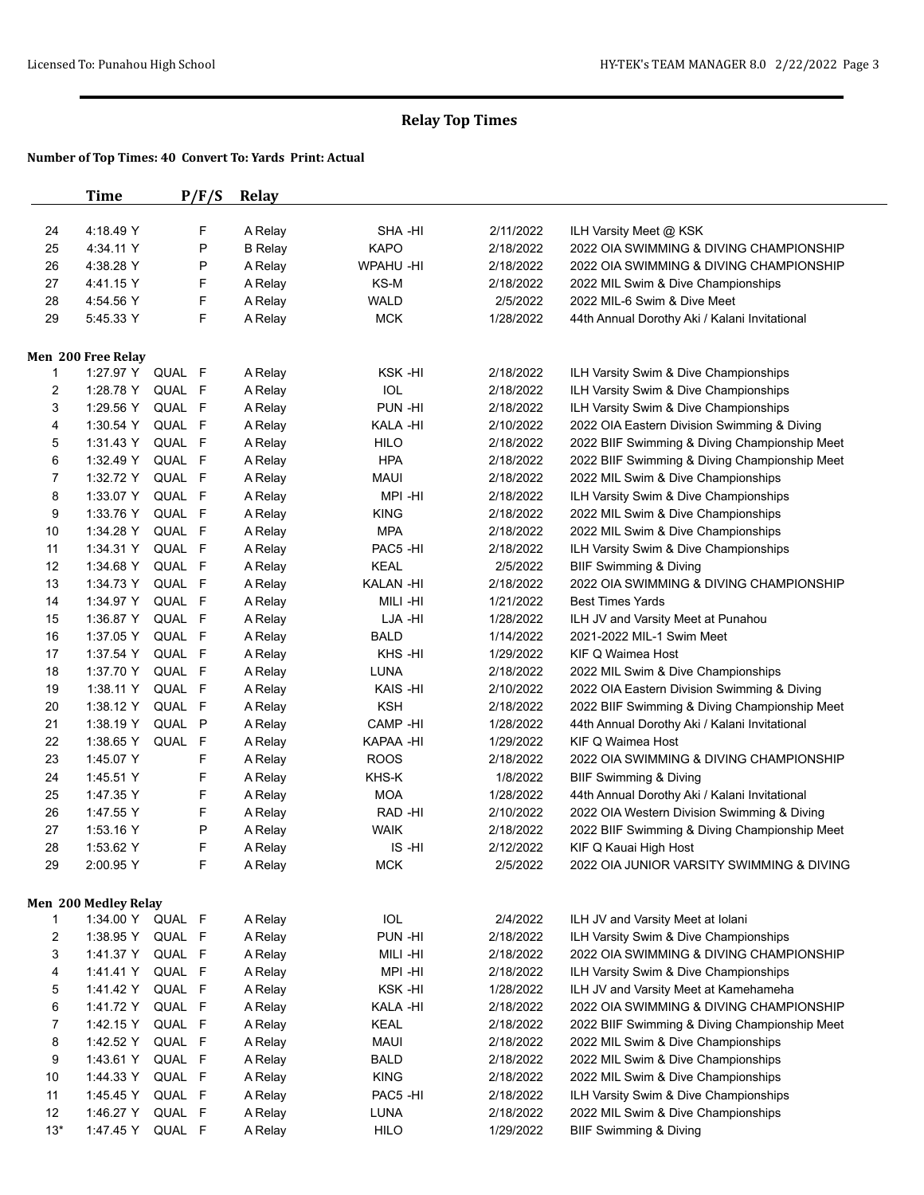|       | Time                 | P/F/S  | <b>Relay</b>              |                 |           |                                                                   |
|-------|----------------------|--------|---------------------------|-----------------|-----------|-------------------------------------------------------------------|
| 24    | 4:18.49 Y            | F      |                           | SHA -HI         | 2/11/2022 |                                                                   |
| 25    | 4:34.11 Y            | P      | A Relay<br><b>B</b> Relay | <b>KAPO</b>     | 2/18/2022 | ILH Varsity Meet @ KSK<br>2022 OIA SWIMMING & DIVING CHAMPIONSHIP |
|       |                      | Ρ      |                           | <b>WPAHU-HI</b> |           | 2022 OIA SWIMMING & DIVING CHAMPIONSHIP                           |
| 26    | 4:38.28 Y            |        | A Relay                   |                 | 2/18/2022 |                                                                   |
| 27    | 4:41.15 Y            | F      | A Relay                   | KS-M            | 2/18/2022 | 2022 MIL Swim & Dive Championships<br>2022 MIL-6 Swim & Dive Meet |
| 28    | 4:54.56 Y            | F      | A Relay                   | <b>WALD</b>     | 2/5/2022  |                                                                   |
| 29    | 5:45.33 Y            | F      | A Relay                   | <b>MCK</b>      | 1/28/2022 | 44th Annual Dorothy Aki / Kalani Invitational                     |
|       | Men 200 Free Relay   |        |                           |                 |           |                                                                   |
| 1     | 1:27.97 Y            | QUAL F | A Relay                   | KSK-HI          | 2/18/2022 | ILH Varsity Swim & Dive Championships                             |
| 2     | 1:28.78 Y            | QUAL F | A Relay                   | IOL             | 2/18/2022 | ILH Varsity Swim & Dive Championships                             |
| 3     | 1:29.56 Y            | QUAL F | A Relay                   | PUN -HI         | 2/18/2022 | ILH Varsity Swim & Dive Championships                             |
| 4     | 1:30.54 Y            | QUAL F | A Relay                   | KALA -HI        | 2/10/2022 | 2022 OIA Eastern Division Swimming & Diving                       |
| 5     | 1:31.43 Y            | QUAL F | A Relay                   | <b>HILO</b>     | 2/18/2022 | 2022 BIIF Swimming & Diving Championship Meet                     |
| 6     | 1:32.49 Y            | QUAL F | A Relay                   | <b>HPA</b>      | 2/18/2022 | 2022 BIIF Swimming & Diving Championship Meet                     |
| 7     | 1:32.72 Y            | QUAL F | A Relay                   | <b>MAUI</b>     | 2/18/2022 | 2022 MIL Swim & Dive Championships                                |
| 8     | 1:33.07 Y            | QUAL F | A Relay                   | MPI-HI          | 2/18/2022 | ILH Varsity Swim & Dive Championships                             |
| 9     | 1:33.76 Y            | QUAL F | A Relay                   | <b>KING</b>     | 2/18/2022 | 2022 MIL Swim & Dive Championships                                |
| 10    | 1:34.28 Y            | QUAL F | A Relay                   | <b>MPA</b>      | 2/18/2022 | 2022 MIL Swim & Dive Championships                                |
| 11    | 1:34.31 Y            | QUAL F | A Relay                   | PAC5 -HI        | 2/18/2022 | ILH Varsity Swim & Dive Championships                             |
| 12    | 1:34.68 Y            | QUAL F | A Relay                   | <b>KEAL</b>     | 2/5/2022  | <b>BIIF Swimming &amp; Diving</b>                                 |
| 13    | 1:34.73 Y            | QUAL F | A Relay                   | <b>KALAN-HI</b> | 2/18/2022 | 2022 OIA SWIMMING & DIVING CHAMPIONSHIP                           |
| 14    | 1:34.97 Y            | QUAL F | A Relay                   | MILI-HI         | 1/21/2022 | <b>Best Times Yards</b>                                           |
| 15    | 1:36.87 Y            | QUAL F | A Relay                   | LJA -HI         | 1/28/2022 | ILH JV and Varsity Meet at Punahou                                |
| 16    | 1:37.05 Y            | QUAL F | A Relay                   | <b>BALD</b>     | 1/14/2022 | 2021-2022 MIL-1 Swim Meet                                         |
| 17    | 1:37.54 Y            | QUAL F | A Relay                   | KHS-HI          | 1/29/2022 | KIF Q Waimea Host                                                 |
| 18    | 1:37.70 Y            | QUAL F | A Relay                   | LUNA            | 2/18/2022 | 2022 MIL Swim & Dive Championships                                |
| 19    | 1:38.11 Y            | QUAL F | A Relay                   | KAIS-HI         | 2/10/2022 | 2022 OIA Eastern Division Swimming & Diving                       |
| 20    | 1:38.12 Y            | QUAL F | A Relay                   | <b>KSH</b>      | 2/18/2022 | 2022 BIIF Swimming & Diving Championship Meet                     |
| 21    | 1:38.19 Y            | QUAL P | A Relay                   | CAMP -HI        | 1/28/2022 | 44th Annual Dorothy Aki / Kalani Invitational                     |
| 22    | 1:38.65 Y            | QUAL F | A Relay                   | KAPAA -HI       | 1/29/2022 | KIF Q Waimea Host                                                 |
| 23    | 1:45.07 Y            | F      | A Relay                   | <b>ROOS</b>     | 2/18/2022 | 2022 OIA SWIMMING & DIVING CHAMPIONSHIP                           |
| 24    | 1:45.51 Y            | F      | A Relay                   | KHS-K           | 1/8/2022  | BIIF Swimming & Diving                                            |
| 25    | 1:47.35 Y            | F      | A Relay                   | <b>MOA</b>      | 1/28/2022 | 44th Annual Dorothy Aki / Kalani Invitational                     |
| 26    | 1:47.55 Y            | F      | A Relay                   | RAD -HI         | 2/10/2022 | 2022 OIA Western Division Swimming & Diving                       |
| 27    | 1:53.16 Y            | Ρ      |                           | WAIK            | 2/18/2022 | 2022 BIIF Swimming & Diving Championship Meet                     |
| 28    | 1:53.62 Y            | F      | A Relay                   | IS-HI           | 2/12/2022 | KIF Q Kauai High Host                                             |
| 29    | 2:00.95 Y            | F      | A Relay<br>A Relay        | <b>MCK</b>      | 2/5/2022  | 2022 OIA JUNIOR VARSITY SWIMMING & DIVING                         |
|       |                      |        |                           |                 |           |                                                                   |
|       | Men 200 Medley Relay |        |                           |                 |           |                                                                   |
| 1     | 1:34.00 Y            | QUAL F | A Relay                   | IOL             | 2/4/2022  | ILH JV and Varsity Meet at Iolani                                 |
| 2     | 1:38.95 Y            | QUAL F | A Relay                   | PUN-HI          | 2/18/2022 | ILH Varsity Swim & Dive Championships                             |
| 3     | 1:41.37 Y            | QUAL F | A Relay                   | MILI-HI         | 2/18/2022 | 2022 OIA SWIMMING & DIVING CHAMPIONSHIP                           |
| 4     | 1:41.41 Y            | QUAL F | A Relay                   | MPI-HI          | 2/18/2022 | ILH Varsity Swim & Dive Championships                             |
| 5     | 1:41.42 Y            | QUAL F | A Relay                   | KSK-HI          | 1/28/2022 | ILH JV and Varsity Meet at Kamehameha                             |
| 6     | 1:41.72 Y            | QUAL F | A Relay                   | KALA -HI        | 2/18/2022 | 2022 OIA SWIMMING & DIVING CHAMPIONSHIP                           |
| 7     | 1:42.15 Y            | QUAL F | A Relay                   | <b>KEAL</b>     | 2/18/2022 | 2022 BIIF Swimming & Diving Championship Meet                     |
| 8     | 1:42.52 Y            | QUAL F | A Relay                   | <b>MAUI</b>     | 2/18/2022 | 2022 MIL Swim & Dive Championships                                |
| 9     | 1:43.61 Y            | QUAL F | A Relay                   | <b>BALD</b>     | 2/18/2022 | 2022 MIL Swim & Dive Championships                                |
| 10    | 1:44.33 Y            | QUAL F | A Relay                   | <b>KING</b>     | 2/18/2022 | 2022 MIL Swim & Dive Championships                                |
| 11    | 1:45.45 Y            | QUAL F | A Relay                   | PAC5 -HI        | 2/18/2022 | ILH Varsity Swim & Dive Championships                             |
| 12    | 1:46.27 Y            | QUAL F | A Relay                   | LUNA            | 2/18/2022 | 2022 MIL Swim & Dive Championships                                |
| $13*$ | 1:47.45 Y            | QUAL F | A Relay                   | <b>HILO</b>     | 1/29/2022 | <b>BIIF Swimming &amp; Diving</b>                                 |